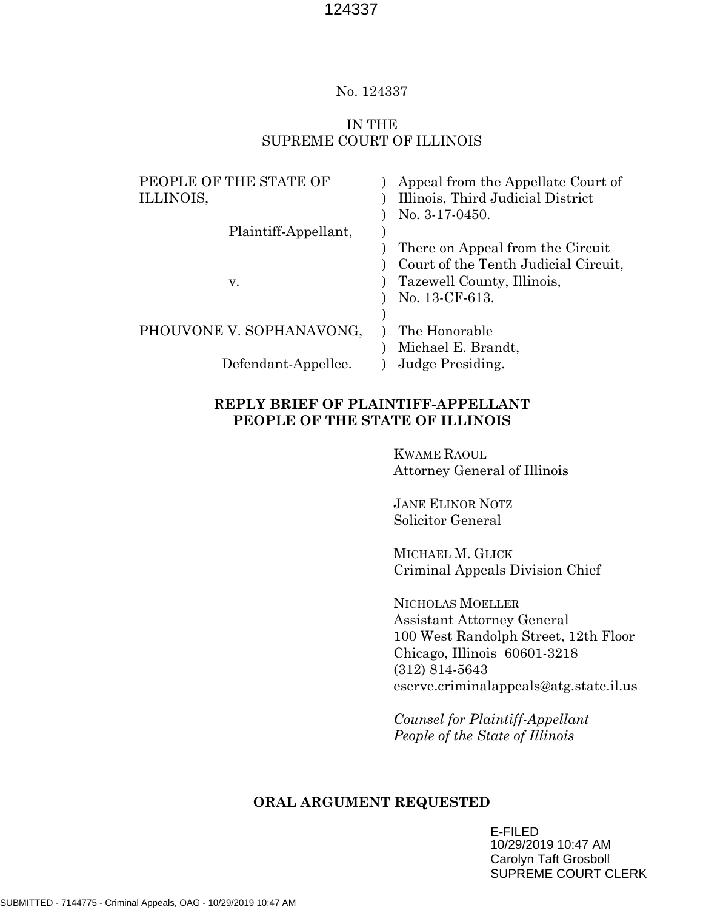#### No. 124337

# IN THE SUPREME COURT OF ILLINOIS

| PEOPLE OF THE STATE OF   | Appeal from the Appellate Court of   |
|--------------------------|--------------------------------------|
| ILLINOIS,                | Illinois, Third Judicial District    |
|                          | No. $3-17-0450$ .                    |
| Plaintiff-Appellant,     |                                      |
|                          | There on Appeal from the Circuit     |
|                          | Court of the Tenth Judicial Circuit, |
| V.                       | Tazewell County, Illinois,           |
|                          | No. 13-CF-613.                       |
|                          |                                      |
| PHOUVONE V. SOPHANAVONG, | The Honorable                        |
|                          | Michael E. Brandt,                   |
| Defendant-Appellee.      | <b>Judge Presiding.</b>              |

# **REPLY BRIEF OF PLAINTIFF-APPELLANT PEOPLE OF THE STATE OF ILLINOIS**

KWAME RAOUL Attorney General of Illinois

JANE ELINOR NOTZ Solicitor General

MICHAEL M. GLICK Criminal Appeals Division Chief

NICHOLAS MOELLER Assistant Attorney General 100 West Randolph Street, 12th Floor Chicago, Illinois 60601-3218 (312) 814-5643 eserve.criminalappeals@atg.state.il.us

*Counsel for Plaintiff-Appellant People of the State of Illinois*

#### **ORAL ARGUMENT REQUESTED**

E-FILED 10/29/2019 10:47 AM Carolyn Taft Grosboll SUPREME COURT CLERK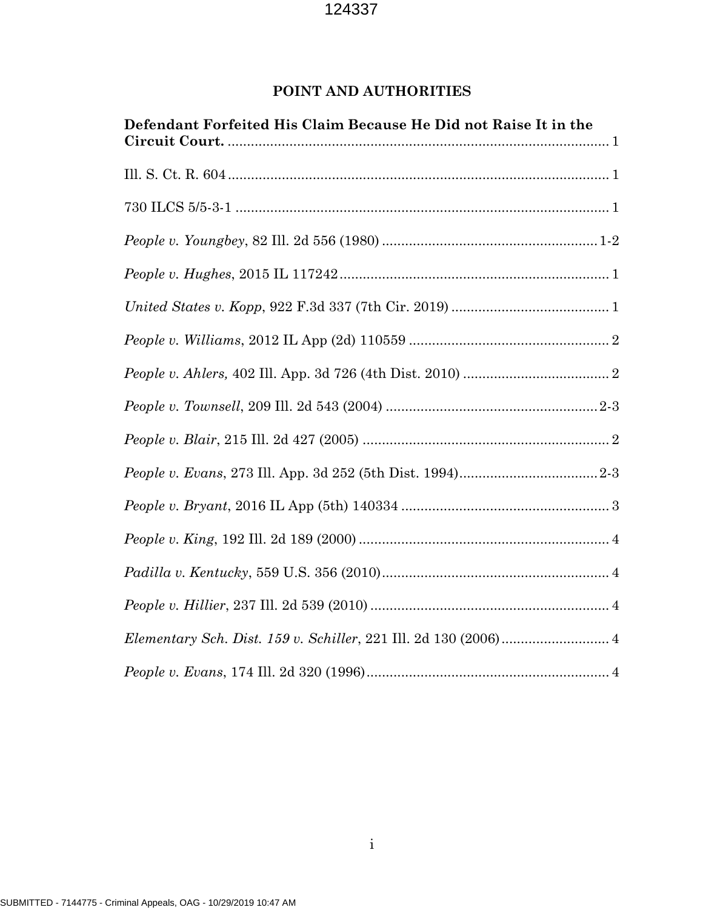# **POINT AND AUTHORITIES**

| Defendant Forfeited His Claim Because He Did not Raise It in the |
|------------------------------------------------------------------|
|                                                                  |
|                                                                  |
|                                                                  |
|                                                                  |
|                                                                  |
|                                                                  |
|                                                                  |
|                                                                  |
|                                                                  |
|                                                                  |
|                                                                  |
|                                                                  |
|                                                                  |
|                                                                  |
|                                                                  |
|                                                                  |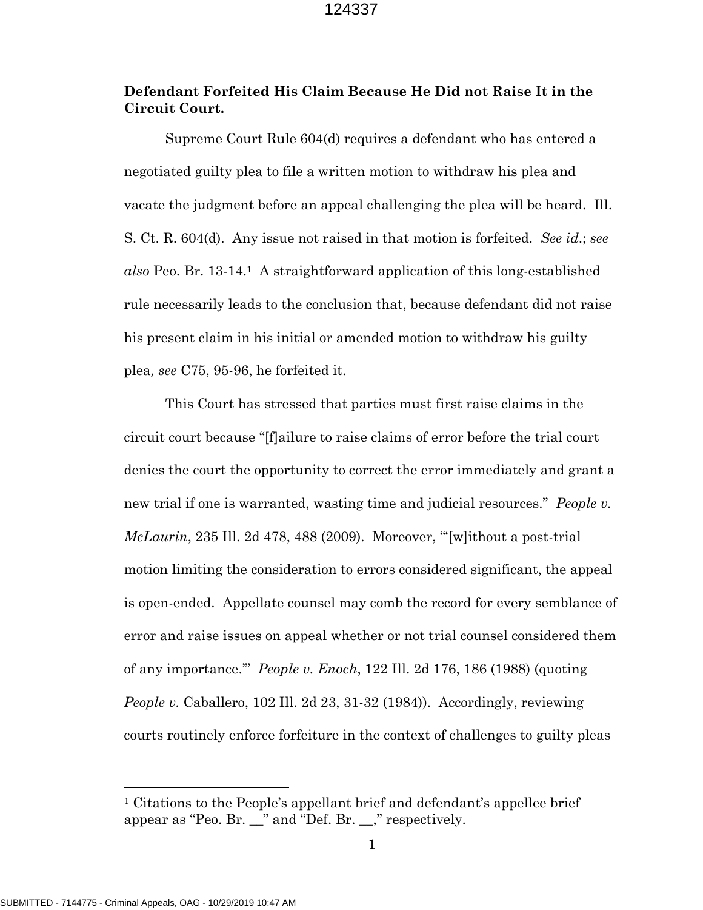# **Defendant Forfeited His Claim Because He Did not Raise It in the Circuit Court.**

Supreme Court Rule 604(d) requires a defendant who has entered a negotiated guilty plea to file a written motion to withdraw his plea and vacate the judgment before an appeal challenging the plea will be heard. Ill. S. Ct. R. 604(d). Any issue not raised in that motion is forfeited. *See id*.; *see also* Peo. Br. 13-14.1 A straightforward application of this long-established rule necessarily leads to the conclusion that, because defendant did not raise his present claim in his initial or amended motion to withdraw his guilty plea*, see* C75, 95-96, he forfeited it.

This Court has stressed that parties must first raise claims in the circuit court because "[f]ailure to raise claims of error before the trial court denies the court the opportunity to correct the error immediately and grant a new trial if one is warranted, wasting time and judicial resources." *People v. McLaurin*, 235 Ill. 2d 478, 488 (2009). Moreover, "'[w]ithout a post-trial motion limiting the consideration to errors considered significant, the appeal is open-ended. Appellate counsel may comb the record for every semblance of error and raise issues on appeal whether or not trial counsel considered them of any importance.'" *People v. Enoch*, 122 Ill. 2d 176, 186 (1988) (quoting *People v.* Caballero, 102 Ill. 2d 23, 31-32 (1984)). Accordingly, reviewing courts routinely enforce forfeiture in the context of challenges to guilty pleas

 $\overline{a}$ 

<sup>1</sup> Citations to the People's appellant brief and defendant's appellee brief appear as "Peo. Br. \_\_" and "Def. Br. \_\_," respectively.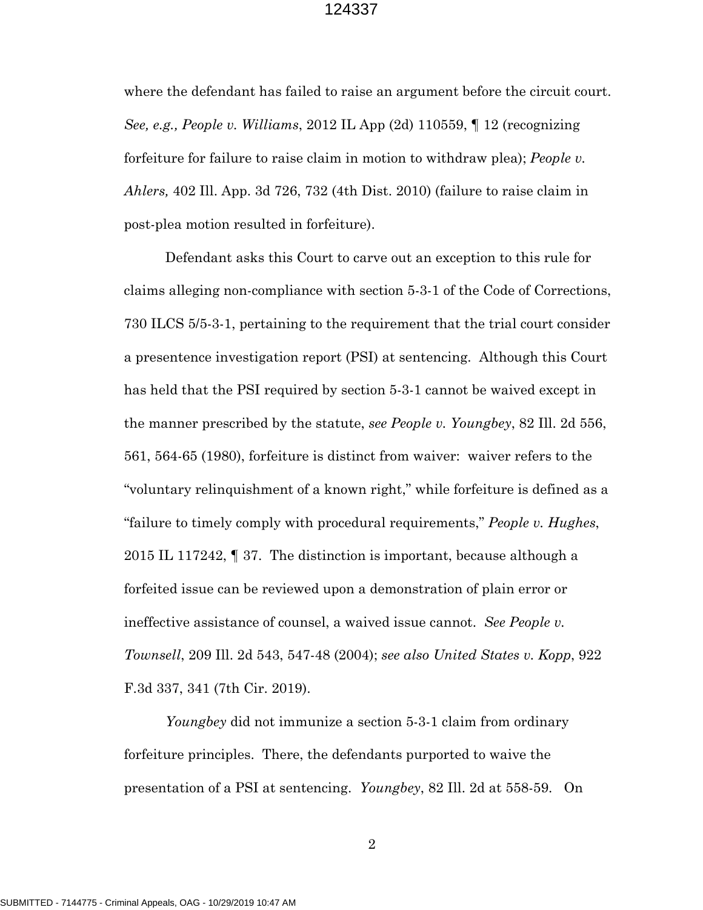where the defendant has failed to raise an argument before the circuit court. *See, e.g., People v. Williams*, 2012 IL App (2d) 110559, ¶ 12 (recognizing forfeiture for failure to raise claim in motion to withdraw plea); *People v. Ahlers,* 402 Ill. App. 3d 726, 732 (4th Dist. 2010) (failure to raise claim in post-plea motion resulted in forfeiture).

Defendant asks this Court to carve out an exception to this rule for claims alleging non-compliance with section 5-3-1 of the Code of Corrections, 730 ILCS 5/5-3-1, pertaining to the requirement that the trial court consider a presentence investigation report (PSI) at sentencing. Although this Court has held that the PSI required by section 5-3-1 cannot be waived except in the manner prescribed by the statute, *see People v. Youngbey*, 82 Ill. 2d 556, 561, 564-65 (1980), forfeiture is distinct from waiver: waiver refers to the "voluntary relinquishment of a known right," while forfeiture is defined as a "failure to timely comply with procedural requirements," *People v. Hughes*, 2015 IL 117242, ¶ 37. The distinction is important, because although a forfeited issue can be reviewed upon a demonstration of plain error or ineffective assistance of counsel, a waived issue cannot. *See People v. Townsell*, 209 Ill. 2d 543, 547-48 (2004); *see also United States v. Kopp*, 922 F.3d 337, 341 (7th Cir. 2019).

*Youngbey* did not immunize a section 5-3-1 claim from ordinary forfeiture principles. There, the defendants purported to waive the presentation of a PSI at sentencing. *Youngbey*, 82 Ill. 2d at 558-59. On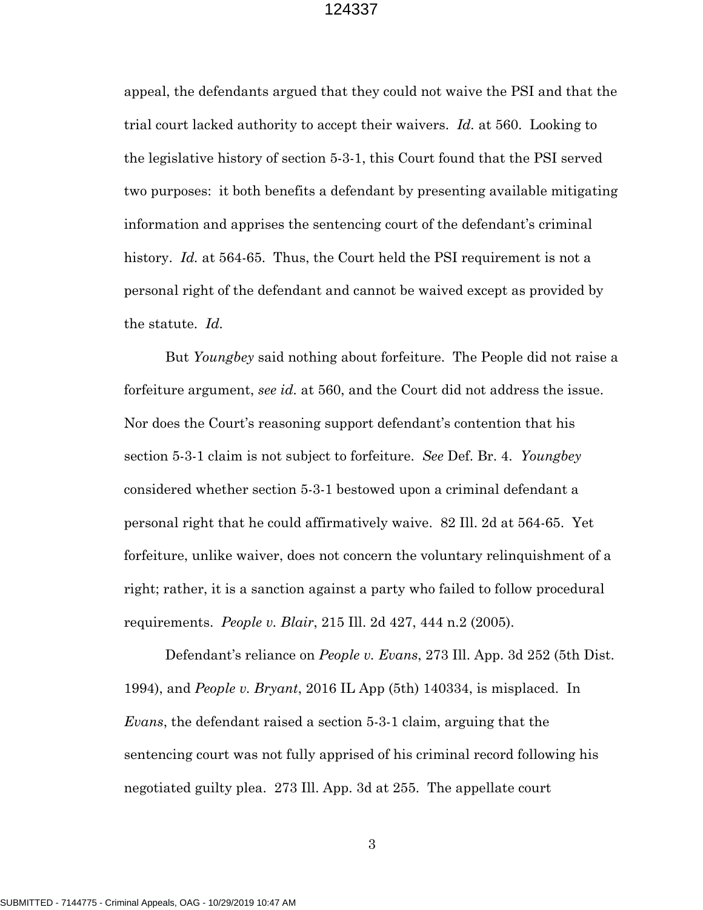appeal, the defendants argued that they could not waive the PSI and that the trial court lacked authority to accept their waivers. *Id.* at 560. Looking to the legislative history of section 5-3-1, this Court found that the PSI served two purposes: it both benefits a defendant by presenting available mitigating information and apprises the sentencing court of the defendant's criminal history. *Id.* at 564-65. Thus, the Court held the PSI requirement is not a personal right of the defendant and cannot be waived except as provided by the statute. *Id.*

But *Youngbey* said nothing about forfeiture. The People did not raise a forfeiture argument, *see id.* at 560, and the Court did not address the issue. Nor does the Court's reasoning support defendant's contention that his section 5-3-1 claim is not subject to forfeiture. *See* Def. Br. 4. *Youngbey*  considered whether section 5-3-1 bestowed upon a criminal defendant a personal right that he could affirmatively waive. 82 Ill. 2d at 564-65. Yet forfeiture, unlike waiver, does not concern the voluntary relinquishment of a right; rather, it is a sanction against a party who failed to follow procedural requirements. *People v. Blair*, 215 Ill. 2d 427, 444 n.2 (2005).

Defendant's reliance on *People v. Evans*, 273 Ill. App. 3d 252 (5th Dist. 1994), and *People v. Bryant*, 2016 IL App (5th) 140334, is misplaced. In *Evans*, the defendant raised a section 5-3-1 claim, arguing that the sentencing court was not fully apprised of his criminal record following his negotiated guilty plea. 273 Ill. App. 3d at 255. The appellate court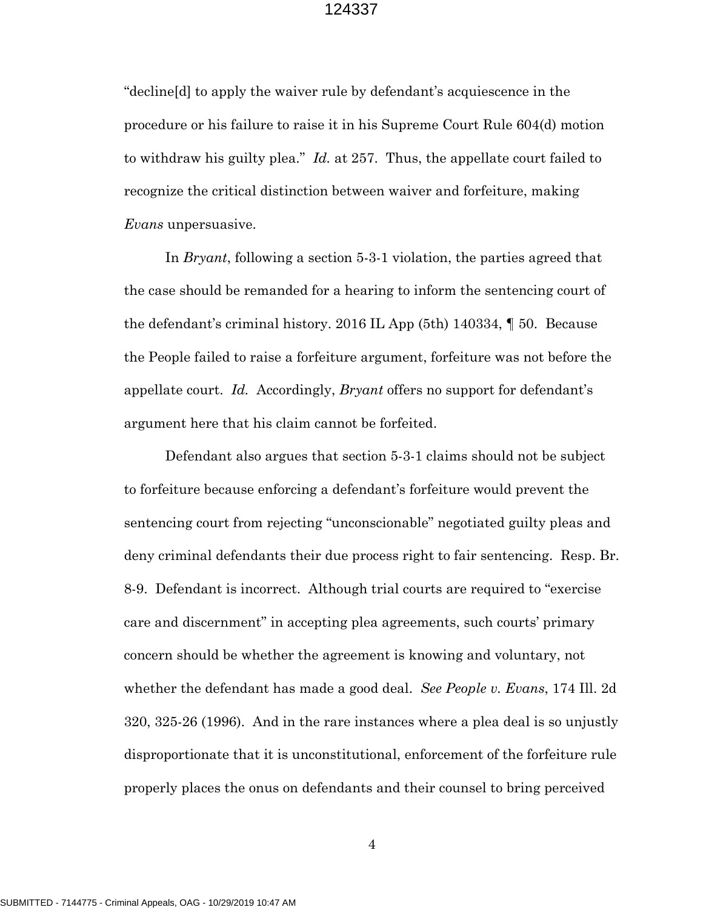"decline[d] to apply the waiver rule by defendant's acquiescence in the procedure or his failure to raise it in his Supreme Court Rule 604(d) motion to withdraw his guilty plea." *Id.* at 257. Thus, the appellate court failed to recognize the critical distinction between waiver and forfeiture, making *Evans* unpersuasive.

In *Bryant*, following a section 5-3-1 violation, the parties agreed that the case should be remanded for a hearing to inform the sentencing court of the defendant's criminal history. 2016 IL App (5th) 140334, ¶ 50. Because the People failed to raise a forfeiture argument, forfeiture was not before the appellate court. *Id.* Accordingly, *Bryant* offers no support for defendant's argument here that his claim cannot be forfeited.

Defendant also argues that section 5-3-1 claims should not be subject to forfeiture because enforcing a defendant's forfeiture would prevent the sentencing court from rejecting "unconscionable" negotiated guilty pleas and deny criminal defendants their due process right to fair sentencing. Resp. Br. 8-9. Defendant is incorrect. Although trial courts are required to "exercise care and discernment" in accepting plea agreements, such courts' primary concern should be whether the agreement is knowing and voluntary, not whether the defendant has made a good deal. *See People v. Evans*, 174 Ill. 2d 320, 325-26 (1996). And in the rare instances where a plea deal is so unjustly disproportionate that it is unconstitutional, enforcement of the forfeiture rule properly places the onus on defendants and their counsel to bring perceived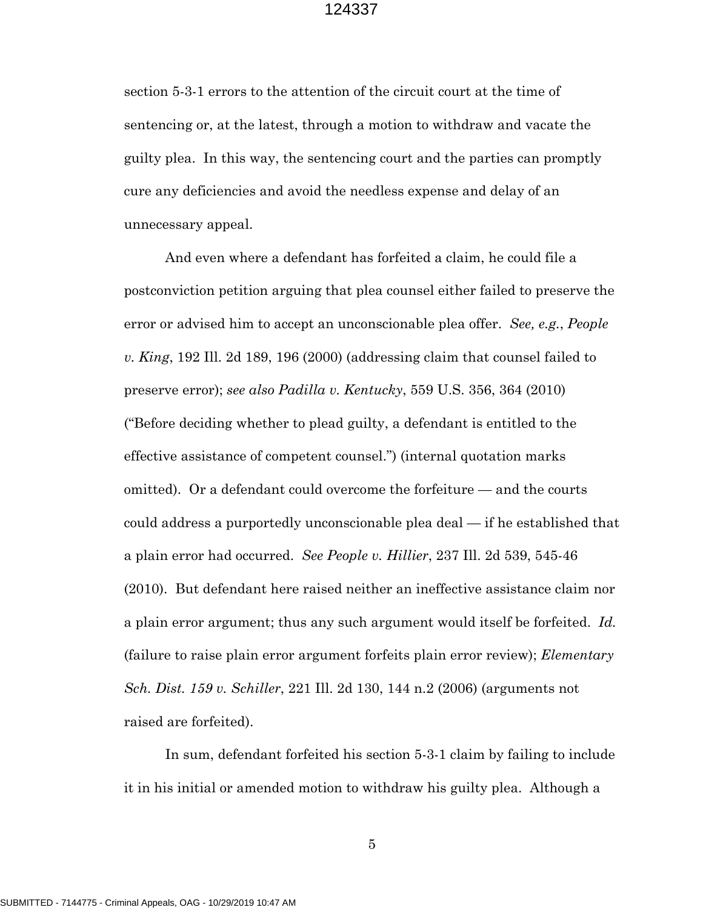section 5-3-1 errors to the attention of the circuit court at the time of sentencing or, at the latest, through a motion to withdraw and vacate the guilty plea. In this way, the sentencing court and the parties can promptly cure any deficiencies and avoid the needless expense and delay of an unnecessary appeal.

And even where a defendant has forfeited a claim, he could file a postconviction petition arguing that plea counsel either failed to preserve the error or advised him to accept an unconscionable plea offer. *See, e.g.*, *People v. King*, 192 Ill. 2d 189, 196 (2000) (addressing claim that counsel failed to preserve error); *see also Padilla v. Kentucky*, 559 U.S. 356, 364 (2010) ("Before deciding whether to plead guilty, a defendant is entitled to the effective assistance of competent counsel.") (internal quotation marks omitted). Or a defendant could overcome the forfeiture — and the courts could address a purportedly unconscionable plea deal — if he established that a plain error had occurred. *See People v. Hillier*, 237 Ill. 2d 539, 545-46 (2010). But defendant here raised neither an ineffective assistance claim nor a plain error argument; thus any such argument would itself be forfeited. *Id.*  (failure to raise plain error argument forfeits plain error review); *Elementary Sch. Dist. 159 v. Schiller*, 221 Ill. 2d 130, 144 n.2 (2006) (arguments not raised are forfeited).

In sum, defendant forfeited his section 5-3-1 claim by failing to include it in his initial or amended motion to withdraw his guilty plea. Although a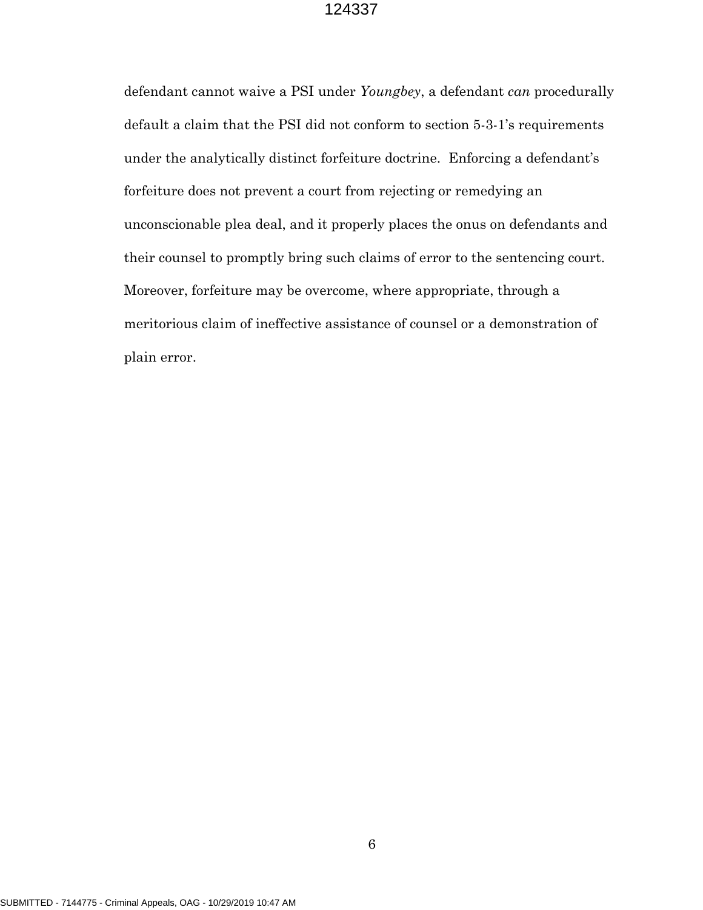defendant cannot waive a PSI under *Youngbey*, a defendant *can* procedurally default a claim that the PSI did not conform to section 5-3-1's requirements under the analytically distinct forfeiture doctrine. Enforcing a defendant's forfeiture does not prevent a court from rejecting or remedying an unconscionable plea deal, and it properly places the onus on defendants and their counsel to promptly bring such claims of error to the sentencing court. Moreover, forfeiture may be overcome, where appropriate, through a meritorious claim of ineffective assistance of counsel or a demonstration of plain error.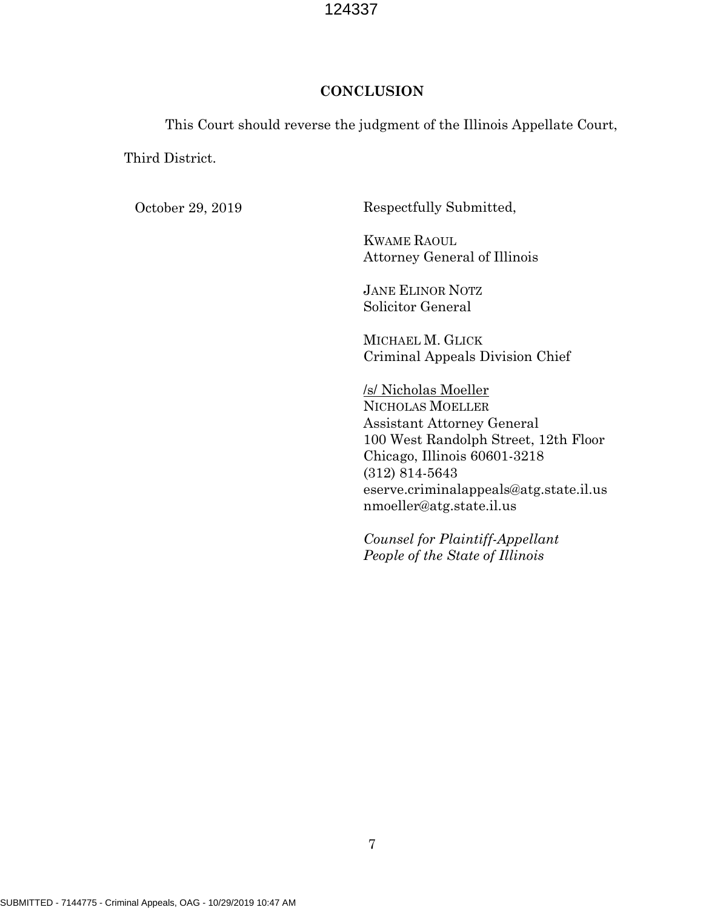## **CONCLUSION**

This Court should reverse the judgment of the Illinois Appellate Court,

Third District.

October 29, 2019 Respectfully Submitted,

KWAME RAOUL Attorney General of Illinois

JANE ELINOR NOTZ Solicitor General

MICHAEL M. GLICK Criminal Appeals Division Chief

/s/ Nicholas Moeller NICHOLAS MOELLER Assistant Attorney General 100 West Randolph Street, 12th Floor Chicago, Illinois 60601-3218 (312) 814-5643 eserve.criminalappeals@atg.state.il.us nmoeller@atg.state.il.us

*Counsel for Plaintiff-Appellant People of the State of Illinois*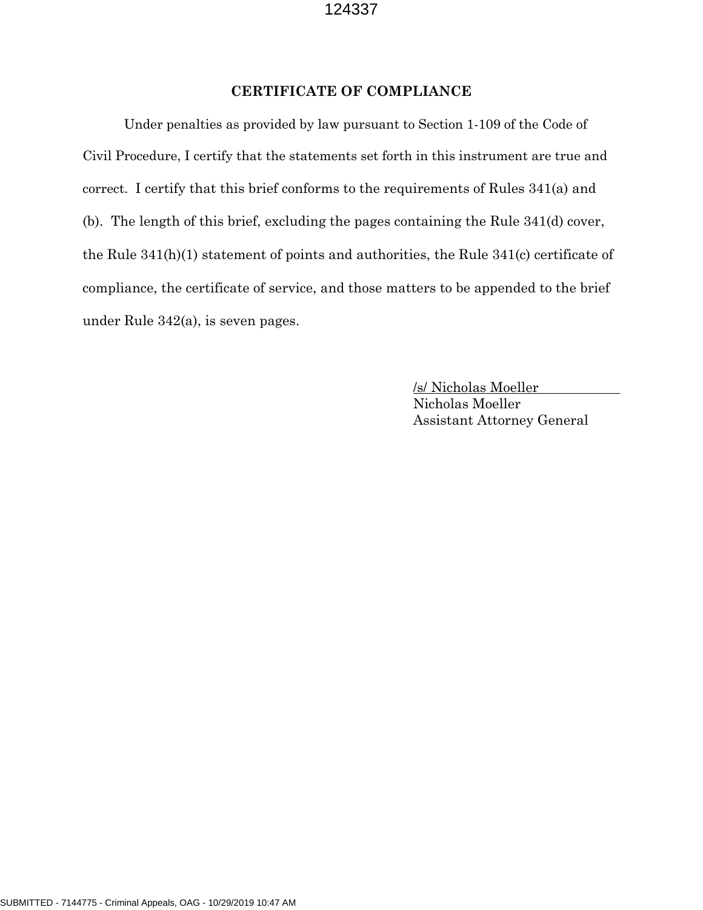### **CERTIFICATE OF COMPLIANCE**

Under penalties as provided by law pursuant to Section 1-109 of the Code of Civil Procedure, I certify that the statements set forth in this instrument are true and correct. I certify that this brief conforms to the requirements of Rules 341(a) and (b). The length of this brief, excluding the pages containing the Rule 341(d) cover, the Rule 341(h)(1) statement of points and authorities, the Rule 341(c) certificate of compliance, the certificate of service, and those matters to be appended to the brief under Rule 342(a), is seven pages.

> /s/ Nicholas Moeller Nicholas Moeller Assistant Attorney General